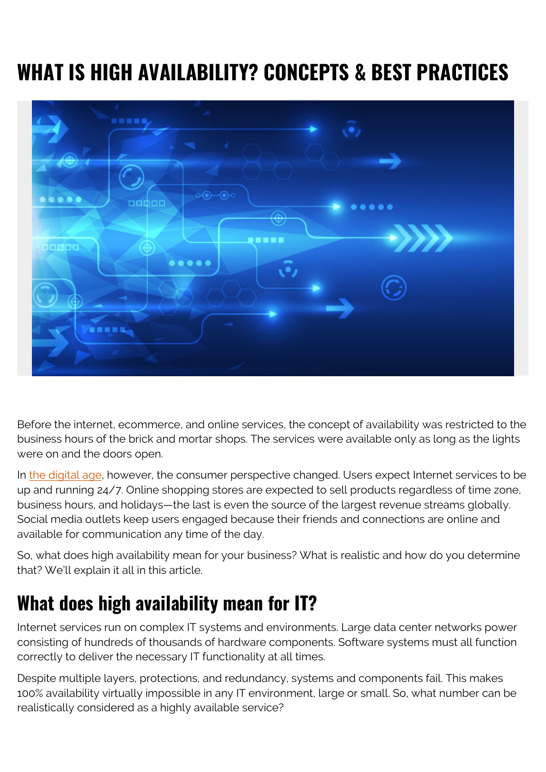## **WHAT IS HIGH AVAILABILITY? CONCEPTS & BEST PRACTICES**



Before the internet, ecommerce, and online services, the concept of availability was restricted to the business hours of the brick and mortar shops. The services were available only as long as the lights were on and the doors open.

In [the digital age,](https://blogs.bmc.com/blogs/fourth-industrial-revolution/) however, the consumer perspective changed. Users expect Internet services to be up and running 24/7. Online shopping stores are expected to sell products regardless of time zone, business hours, and holidays—the last is even the source of the largest revenue streams globally. Social media outlets keep users engaged because their friends and connections are online and available for communication any time of the day.

So, what does high availability mean for your business? What is realistic and how do you determine that? We'll explain it all in this article.

### **What does high availability mean for IT?**

Internet services run on complex IT systems and environments. Large data center networks power consisting of hundreds of thousands of hardware components. Software systems must all function correctly to deliver the necessary IT functionality at all times.

Despite multiple layers, protections, and redundancy, systems and components fail. This makes 100% availability virtually impossible in any IT environment, large or small. So, what number can be realistically considered as a highly available service?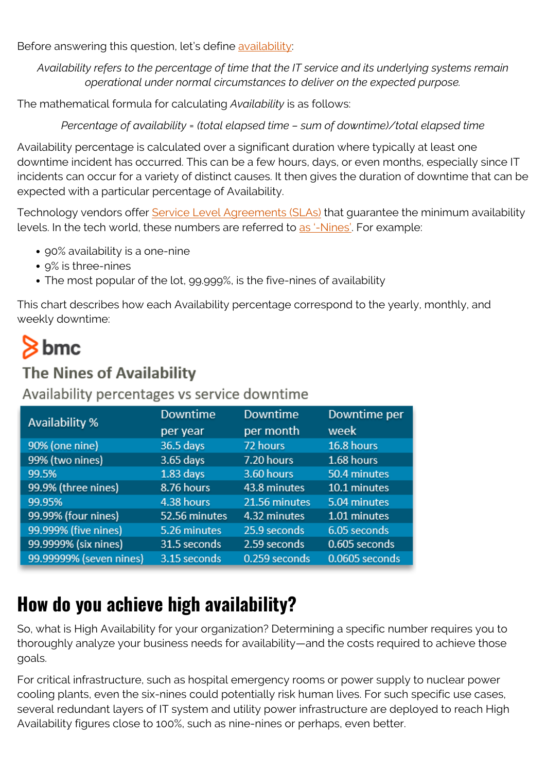Before answering this question, let's define [availability](https://blogs.bmc.com/blogs/system-reliability-availability-calculations/):

*Availability refers to the percentage of time that the IT service and its underlying systems remain operational under normal circumstances to deliver on the expected purpose.*

The mathematical formula for calculating *Availability* is as follows:

*Percentage of availability = (total elapsed time – sum of downtime)/total elapsed time*

Availability percentage is calculated over a significant duration where typically at least one downtime incident has occurred. This can be a few hours, days, or even months, especially since IT incidents can occur for a variety of distinct causes. It then gives the duration of downtime that can be expected with a particular percentage of Availability.

Technology vendors offer [Service Level Agreements \(SLAs\)](https://blogs.bmc.com/blogs/sla-template-examples/) that guarantee the minimum availability levels. In the tech world, these numbers are referred to [as '-Nines'](https://blogs.bmc.com/blogs/service-availability-calculation-metrics/). For example:

- 90% availability is a one-nine
- 9% is three-nines
- The most popular of the lot, 99.999%, is the five-nines of availability

This chart describes how each Availability percentage correspond to the yearly, monthly, and weekly downtime:

# $8<sub>bmc</sub>$

#### **The Nines of Availability**

Availability percentages vs service downtime

| Availability %          | Downtime      | Downtime      | Downtime per   |
|-------------------------|---------------|---------------|----------------|
|                         | per year      | per month     | week           |
| 90% (one nine)          | 36.5 days     | 72 hours      | 16.8 hours     |
| 99% (two nines)         | 3.65 days     | 7.20 hours    | 1.68 hours     |
| 99.5%                   | $1.83$ days   | 3.60 hours    | 50.4 minutes   |
| 99.9% (three nines)     | 8.76 hours    | 43.8 minutes  | 10.1 minutes   |
| 99.95%                  | 4.38 hours    | 21.56 minutes | 5.04 minutes   |
| 99.99% (four nines)     | 52.56 minutes | 4.32 minutes  | 1.01 minutes   |
| 99.999% (five nines)    | 5.26 minutes  | 25.9 seconds  | 6.05 seconds   |
| 99.9999% (six nines)    | 31.5 seconds  | 2.59 seconds  | 0.605 seconds  |
| 99.99999% (seven nines) | 3.15 seconds  | 0.259 seconds | 0.0605 seconds |

## **How do you achieve high availability?**

So, what is High Availability for your organization? Determining a specific number requires you to thoroughly analyze your business needs for availability—and the costs required to achieve those goals.

For critical infrastructure, such as hospital emergency rooms or power supply to nuclear power cooling plants, even the six-nines could potentially risk human lives. For such specific use cases, several redundant layers of IT system and utility power infrastructure are deployed to reach High Availability figures close to 100%, such as nine-nines or perhaps, even better.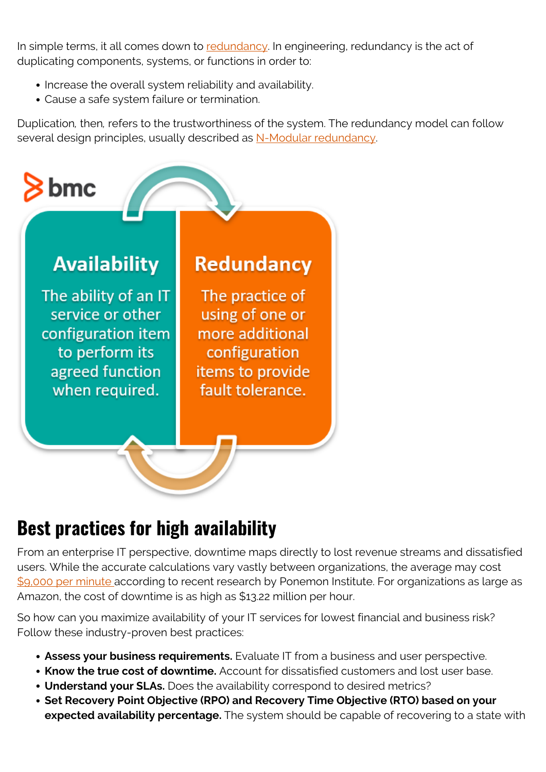In simple terms, it all comes down to [redundancy](https://blogs.bmc.com/blogs/redundancy-impact-availability/). In engineering, redundancy is the act of duplicating components, systems, or functions in order to:

- Increase the overall system reliability and availability.
- Cause a safe system failure or termination.

Duplication*,* then*,* refers to the trustworthiness of the system. The redundancy model can follow several design principles, usually described as [N-Modular redundancy.](https://blogs.bmc.com/blogs/n-n1-n2-2n-3n-redundancy/)



## **Best practices for high availability**

From an enterprise IT perspective, downtime maps directly to lost revenue streams and dissatisfied users. While the accurate calculations vary vastly between organizations, the average may cost [\\$9,000 per minute a](https://www.atlassian.com/incident-management/kpis/cost-of-downtime)ccording to recent research by Ponemon Institute. For organizations as large as Amazon, the cost of downtime is as high as \$13.22 million per hour.

So how can you maximize availability of your IT services for lowest financial and business risk? Follow these industry-proven best practices:

- **Assess your business requirements.** Evaluate IT from a business and user perspective.
- **Know the true cost of downtime.** Account for dissatisfied customers and lost user base.
- **Understand your SLAs.** Does the availability correspond to desired metrics?
- **Set Recovery Point Objective (RPO) and Recovery Time Objective (RTO) based on your expected availability percentage.** The system should be capable of recovering to a state with